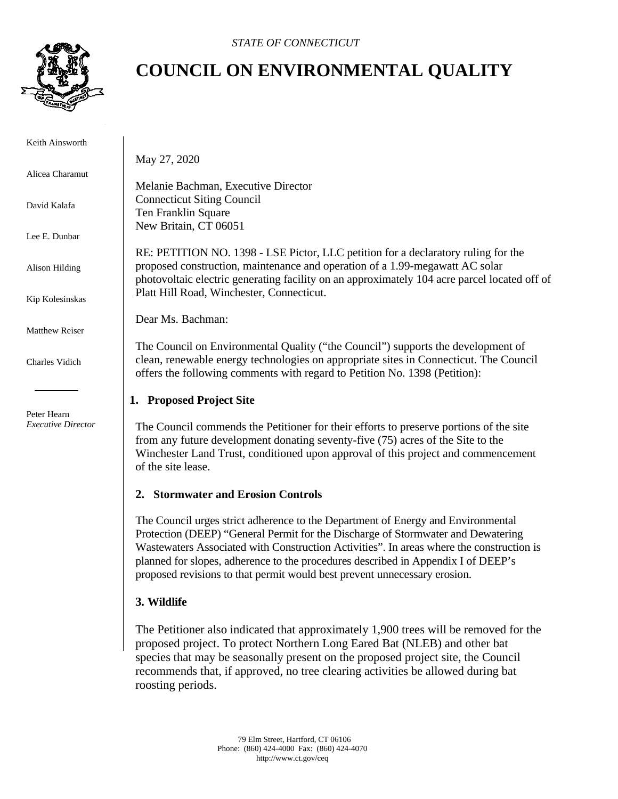

# **COUNCIL ON ENVIRONMENTAL QUALITY**

Keith Ainsworth

Alicea Charamut

David Kalafa

Lee E. Dunbar

Alison Hilding

Kip Kolesinskas

Matthew Reiser

Charles Vidich

 Peter Hearn *Executive Director* May 27, 2020

Melanie Bachman, Executive Director Connecticut Siting Council Ten Franklin Square New Britain, CT 06051

RE: PETITION NO. 1398 - LSE Pictor, LLC petition for a declaratory ruling for the proposed construction, maintenance and operation of a 1.99-megawatt AC solar photovoltaic electric generating facility on an approximately 104 acre parcel located off of Platt Hill Road, Winchester, Connecticut.

Dear Ms. Bachman:

The Council on Environmental Quality ("the Council") supports the development of clean, renewable energy technologies on appropriate sites in Connecticut. The Council offers the following comments with regard to Petition No. 1398 (Petition):

## **1. Proposed Project Site**

The Council commends the Petitioner for their efforts to preserve portions of the site from any future development donating seventy-five (75) acres of the Site to the Winchester Land Trust, conditioned upon approval of this project and commencement of the site lease.

#### **2. Stormwater and Erosion Controls**

The Council urges strict adherence to the Department of Energy and Environmental Protection (DEEP) "General Permit for the Discharge of Stormwater and Dewatering Wastewaters Associated with Construction Activities". In areas where the construction is planned for slopes, adherence to the procedures described in Appendix I of DEEP's proposed revisions to that permit would best prevent unnecessary erosion.

## **3. Wildlife**

The Petitioner also indicated that approximately 1,900 trees will be removed for the proposed project. To protect Northern Long Eared Bat (NLEB) and other bat species that may be seasonally present on the proposed project site, the Council recommends that, if approved, no tree clearing activities be allowed during bat roosting periods.